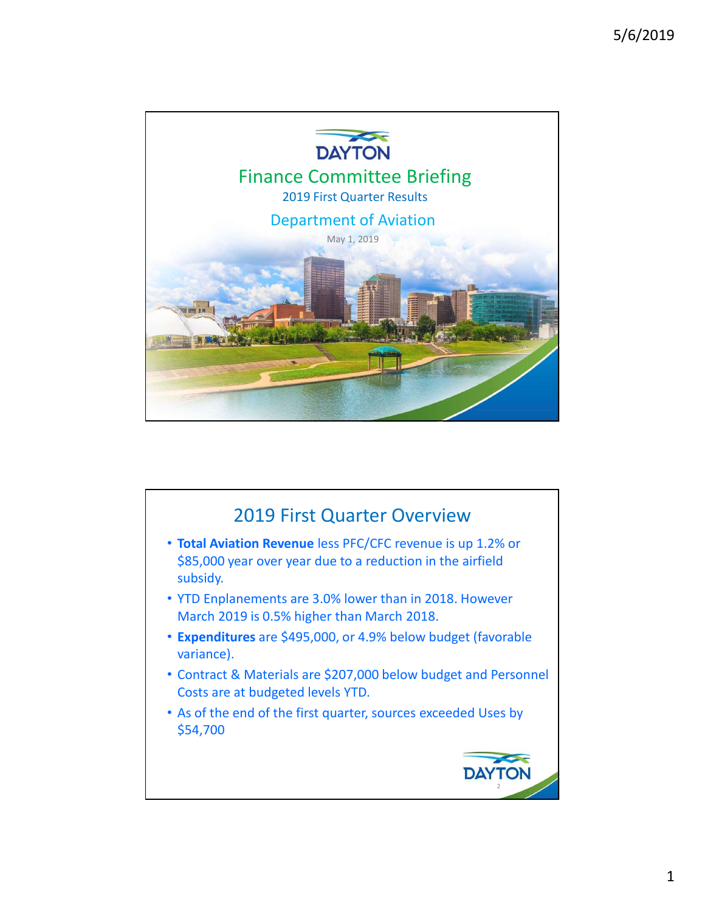

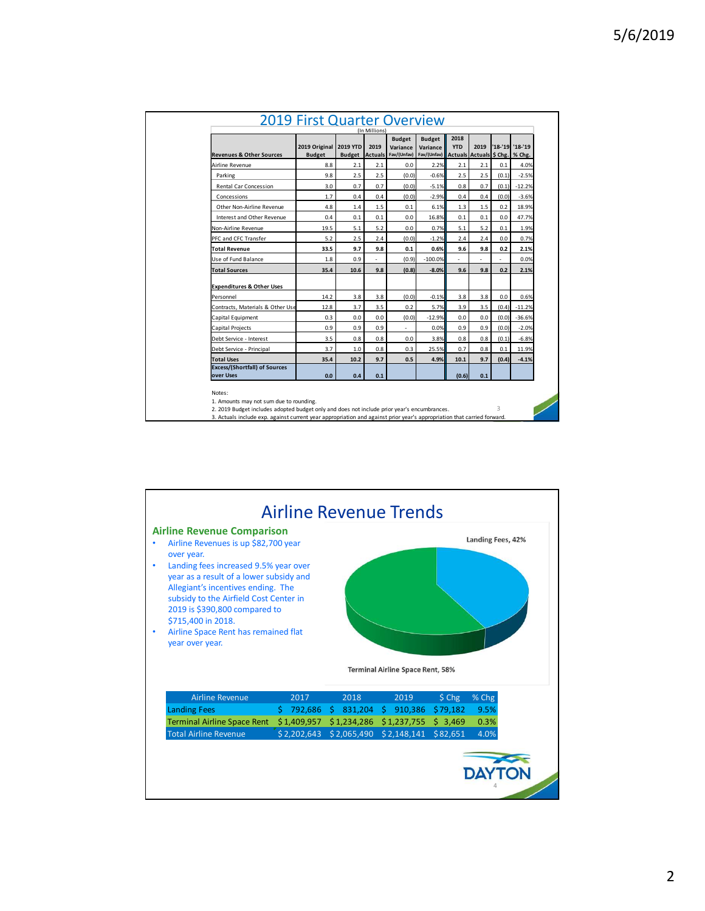|                                                                                                                                                                                                                        | <b>2019 First Quarter Overview</b> |                    |               |                            |                    |                |                         |                           |                     |
|------------------------------------------------------------------------------------------------------------------------------------------------------------------------------------------------------------------------|------------------------------------|--------------------|---------------|----------------------------|--------------------|----------------|-------------------------|---------------------------|---------------------|
|                                                                                                                                                                                                                        |                                    |                    | (In Millions) | <b>Budget</b>              | <b>Budget</b>      | 2018           |                         |                           |                     |
|                                                                                                                                                                                                                        | 2019 Original 2019 YTD             |                    | 2019          | Variance                   | Variance           | <b>YTD</b>     | 2019                    | $'18 - 19$                | $'18-'19$           |
| <b>Revenues &amp; Other Sources</b>                                                                                                                                                                                    | <b>Budget</b>                      |                    |               | Budget Actuals Fav/(Unfav) | Fav/(Unfav)        |                | Actuals Actuals \$ Chg. |                           | % Chg.              |
| Airline Revenue                                                                                                                                                                                                        | 8.8<br>9.8                         | $2.1\,$<br>$2.5\,$ | 2.1<br>2.5    | 0.0<br>(0.0)               | 2.2%               | 2.1<br>$2.5\,$ | $2.1\,$<br>$2.5\,$      | 0.1<br>(0.1)              | 4.0%                |
| Parking<br>Rental Car Concession                                                                                                                                                                                       | 3.0                                | 0.7                | 0.7           | (0.0)                      | $-0.6%$<br>$-5.1%$ | $0.8\,$        | 0.7                     | (0.1)                     | $-2.5%$<br>$-12.2%$ |
| Concessions                                                                                                                                                                                                            | $1.7$                              | $0.4\,$            | 0.4           | (0.0)                      | $-2.9%$            | 0.4            | $0.4\,$                 | (0.0)                     | $-3.6%$             |
| Other Non-Airline Revenue                                                                                                                                                                                              | $4.8\,$                            | 1.4                | $1.5\,$       | $0.1\,$                    | 6.1%               | 1.3            | $1.5\,$                 | 0.2                       | 18.9%               |
| Interest and Other Revenue                                                                                                                                                                                             | 0.4                                | 0.1                | 0.1           | 0.0                        | 16.8%              | 0.1            | 0.1                     | 0.0                       | 47.7%               |
| Non-Airline Revenue                                                                                                                                                                                                    | 19.5                               | 5.1                | $5.2\,$       | $0.0\,$                    | 0.7%               | 5.1            | 5.2                     | 0.1                       | 1.9%                |
| PFC and CFC Transfer                                                                                                                                                                                                   | 5.2                                | $2.5\,$            | 2.4           | (0.0)                      | $-1.2%$            | 2.4            | $2.4\,$                 | 0.0                       | 0.7%                |
| <b>Total Revenue</b>                                                                                                                                                                                                   | 33.5                               | 9.7                | 9.8           | 0.1                        | 0.6%               | 9.6            | 9.8                     | 0.2                       | 2.1%                |
| Use of Fund Balance                                                                                                                                                                                                    | 1.8                                | 0.9                | $\sim$        | (0.9)                      | $-100.0%$          |                | $\overline{a}$          | $\overline{a}$            | 0.0%                |
| <b>Total Sources</b>                                                                                                                                                                                                   | 35.4                               | $10.6\,$           | 9.8           | (0.8)                      | $-8.0%$            | $9.6\,$        | $9.8\,$                 | $0.2\,$                   | 2.1%                |
|                                                                                                                                                                                                                        |                                    |                    |               |                            |                    |                |                         |                           |                     |
|                                                                                                                                                                                                                        |                                    | 3.8                | 3.8           | (0.0)                      | $-0.1%$            | 3.8            | 3.8                     | 0.0                       | 0.6%                |
| <b>Expenditures &amp; Other Uses</b>                                                                                                                                                                                   |                                    |                    | 3.5           | 0.2                        | 5.7%               | 3.9            | 3.5                     | (0.4)                     | $-11.2%$            |
| Personnel                                                                                                                                                                                                              | 14.2<br>12.8                       |                    |               |                            |                    |                |                         |                           |                     |
| Contracts, Materials & Other Use<br>Capital Equipment                                                                                                                                                                  | 0.3                                | 3.7<br>0.0         | 0.0           | (0.0)                      | $-12.9%$           | 0.0            | $0.0\,$                 | (0.0)                     | $-36.6%$            |
| Capital Projects                                                                                                                                                                                                       | 0.9                                | 0.9                | 0.9           | $\sim$                     | 0.0%               | 0.9            | 0.9                     | (0.0)                     | $-2.0%$             |
| Debt Service - Interest                                                                                                                                                                                                | 3.5                                | $0.8\,$            | $0.8\,$       | $0.0\,$                    | 3.8%               | $0.8\,$        | $0.8\,$                 | (0.1)                     | $-6.8%$             |
| Debt Service - Principal                                                                                                                                                                                               | 3.7                                | 1.0                | 0.8           | 0.3                        | 25.5%              | 0.7            | $0.8\,$                 | 0.1                       | 11.9%               |
| <b>Total Uses</b>                                                                                                                                                                                                      | 35.4                               | $10.2$             | 9.7           | 0.5                        | 4.9%               | 10.1           | 9.7                     | (0.4)                     | $-4.1%$             |
| <b>Excess/(Shortfall) of Sources</b>                                                                                                                                                                                   |                                    |                    |               |                            |                    |                |                         |                           |                     |
| over Uses                                                                                                                                                                                                              | $0.0\,$                            | 0.4                | 0.1           |                            |                    | (0.6)          | $0.1\,$                 |                           |                     |
| Notes:                                                                                                                                                                                                                 |                                    |                    |               |                            |                    |                |                         |                           |                     |
| 1. Amounts may not sum due to rounding.                                                                                                                                                                                |                                    |                    |               |                            |                    |                |                         |                           |                     |
| 2. 2019 Budget includes adopted budget only and does not include prior year's encumbrances.<br>3. Actuals include exp. against current year appropriation and against prior year's appropriation that carried forward. |                                    |                    |               |                            |                    |                |                         | $\ensuremath{\mathsf{3}}$ |                     |

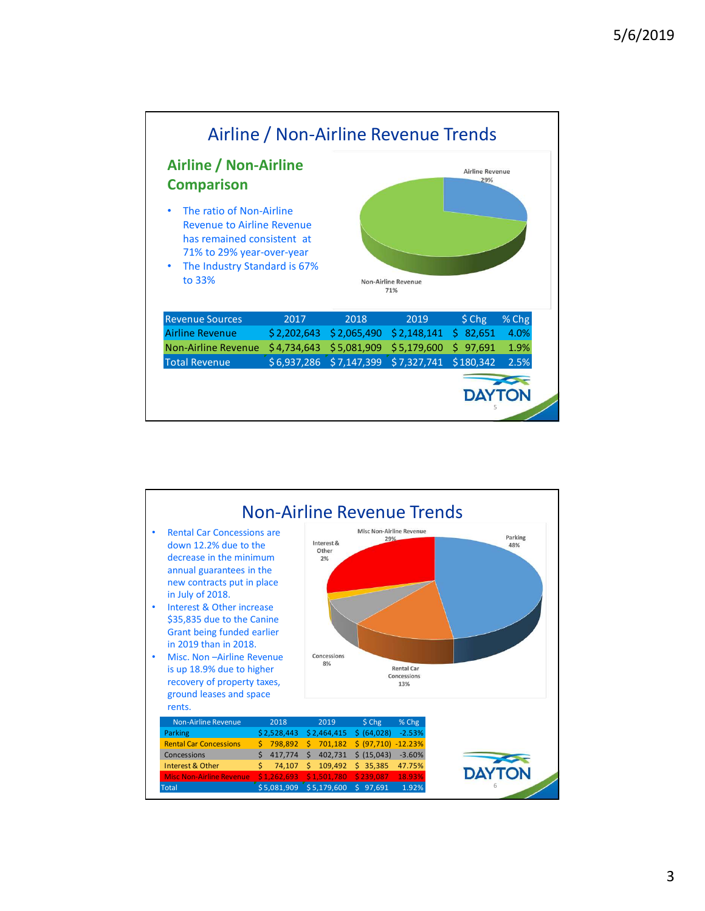

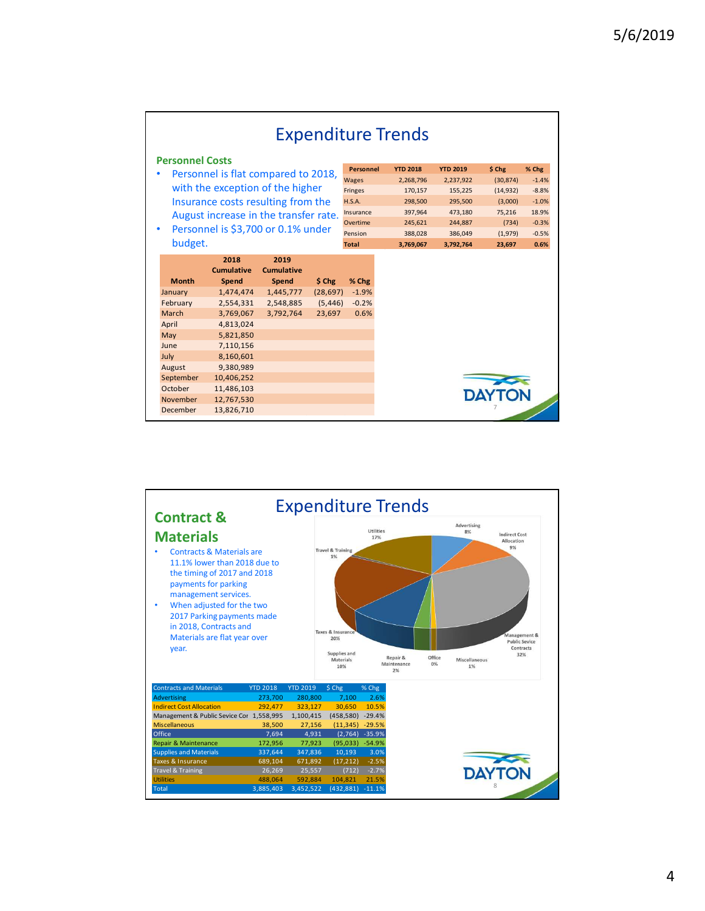|                                     |                                                                                                                                                                                                  |                                                                           |                                           |                                                                                                    | <b>Expenditure Trends</b>                                                                        |                                                                                                  |                                                                                     |                                                                               |
|-------------------------------------|--------------------------------------------------------------------------------------------------------------------------------------------------------------------------------------------------|---------------------------------------------------------------------------|-------------------------------------------|----------------------------------------------------------------------------------------------------|--------------------------------------------------------------------------------------------------|--------------------------------------------------------------------------------------------------|-------------------------------------------------------------------------------------|-------------------------------------------------------------------------------|
| <b>Personnel Costs</b>              |                                                                                                                                                                                                  |                                                                           |                                           |                                                                                                    |                                                                                                  |                                                                                                  |                                                                                     |                                                                               |
| budget.                             | • Personnel is flat compared to 2018,<br>with the exception of the higher<br>Insurance costs resulting from the<br>August increase in the transfer rate.<br>• Personnel is \$3,700 or 0.1% under |                                                                           |                                           | Personnel<br>Wages<br>Fringes<br><b>H.S.A.</b><br>Insurance<br>Overtime<br>Pension<br><b>Total</b> | <b>YTD 2018</b><br>2,268,796<br>170,157<br>298,500<br>397,964<br>245,621<br>388,028<br>3,769,067 | <b>YTD 2019</b><br>2,237,922<br>155,225<br>295,500<br>473,180<br>244,887<br>386,049<br>3,792,764 | \$ Chg<br>(30, 874)<br>(14, 932)<br>(3,000)<br>75,216<br>(734)<br>(1,979)<br>23,697 | % Chg<br>$-1.4%$<br>$-8.8%$<br>$-1.0%$<br>18.9%<br>$-0.3%$<br>$-0.5%$<br>0.6% |
| <b>Month</b><br>January<br>February | 2018<br><b>Cumulative</b><br>Spend<br>1,474,474<br>2,554,331<br>3,769,067                                                                                                                        | 2019<br><b>Cumulative</b><br>Spend<br>1,445,777<br>2,548,885<br>3,792,764 | \$ Chg<br>(28, 697)<br>(5, 446)<br>23,697 | % Chg<br>$-1.9%$<br>$-0.2%$<br>0.6%                                                                |                                                                                                  |                                                                                                  |                                                                                     |                                                                               |

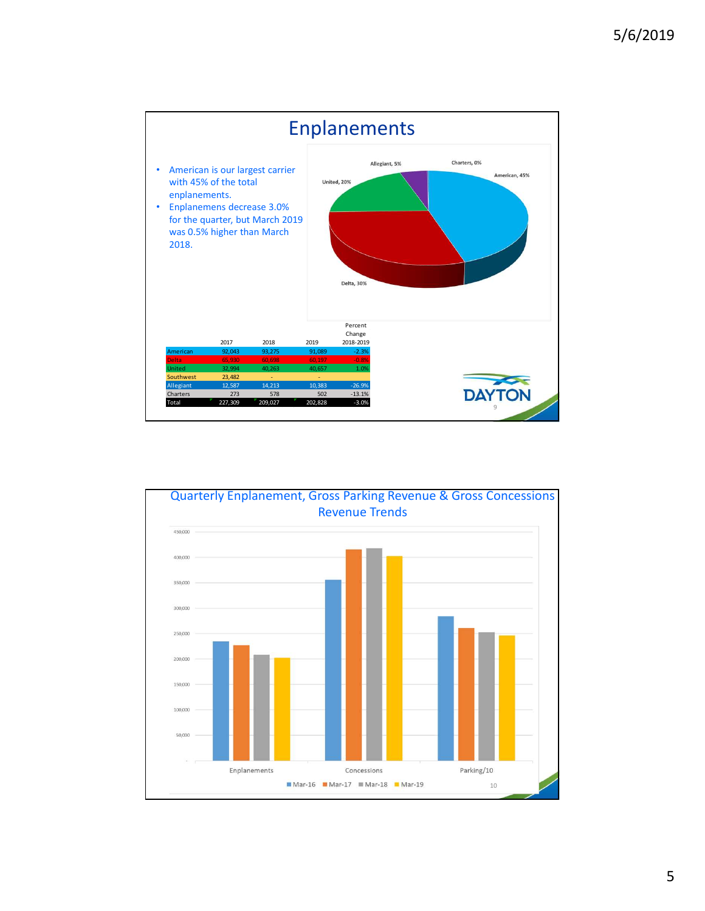